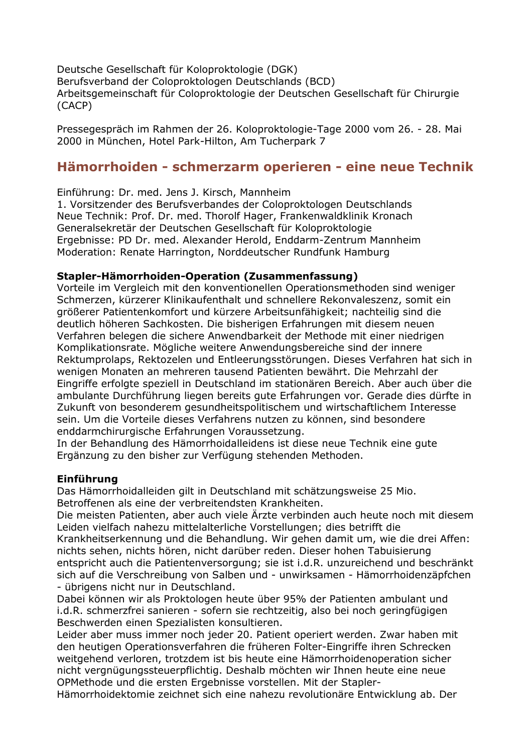Deutsche Gesellschaft für Koloproktologie (DGK) Berufsverband der Coloproktologen Deutschlands (BCD) Arbeitsgemeinschaft für Coloproktologie der Deutschen Gesellschaft für Chirurgie (CACP)

Pressegespräch im Rahmen der 26. Koloproktologie-Tage 2000 vom 26. - 28. Mai 2000 in München, Hotel Park-Hilton, Am Tucherpark 7

# Hämorrhoiden - schmerzarm operieren - eine neue Technik

Einführung: Dr. med. Jens J. Kirsch, Mannheim

1. Vorsitzender des Berufsverbandes der Coloproktologen Deutschlands Neue Technik: Prof. Dr. med. Thorolf Hager, Frankenwaldklinik Kronach Generalsekretär der Deutschen Gesellschaft für Koloproktologie Ergebnisse: PD Dr. med. Alexander Herold, Enddarm-Zentrum Mannheim Moderation: Renate Harrington, Norddeutscher Rundfunk Hamburg

#### Stapler-Hämorrhoiden-Operation (Zusammenfassung)

Vorteile im Vergleich mit den konventionellen Operationsmethoden sind weniger Schmerzen, kürzerer Klinikaufenthalt und schnellere Rekonvaleszenz, somit ein größerer Patientenkomfort und kürzere Arbeitsunfähigkeit; nachteilig sind die deutlich höheren Sachkosten. Die bisherigen Erfahrungen mit diesem neuen Verfahren belegen die sichere Anwendbarkeit der Methode mit einer niedrigen Komplikationsrate. Mögliche weitere Anwendungsbereiche sind der innere Rektumprolaps, Rektozelen und Entleerungsstörungen. Dieses Verfahren hat sich in wenigen Monaten an mehreren tausend Patienten bewährt. Die Mehrzahl der Eingriffe erfolgte speziell in Deutschland im stationären Bereich. Aber auch über die ambulante Durchführung liegen bereits gute Erfahrungen vor. Gerade dies dürfte in Zukunft von besonderem gesundheitspolitischem und wirtschaftlichem Interesse sein. Um die Vorteile dieses Verfahrens nutzen zu können, sind besondere enddarmchirurgische Erfahrungen Voraussetzung.

In der Behandlung des Hämorrhoidalleidens ist diese neue Technik eine gute Ergänzung zu den bisher zur Verfügung stehenden Methoden.

#### **Einführuna**

Das Hämorrhoidalleiden gilt in Deutschland mit schätzungsweise 25 Mio. Betroffenen als eine der verbreitendsten Krankheiten.

Die meisten Patienten, aber auch viele Ärzte verbinden auch heute noch mit diesem Leiden vielfach nahezu mittelalterliche Vorstellungen; dies betrifft die

Krankheitserkennung und die Behandlung. Wir gehen damit um, wie die drei Affen: nichts sehen, nichts hören, nicht darüber reden. Dieser hohen Tabuisierung entspricht auch die Patientenversorgung; sie ist i.d.R. unzureichend und beschränkt sich auf die Verschreibung von Salben und - unwirksamen - Hämorrhoidenzäpfchen - übrigens nicht nur in Deutschland.

Dabei können wir als Proktologen heute über 95% der Patienten ambulant und i.d.R. schmerzfrei sanieren - sofern sie rechtzeitig, also bei noch geringfügigen Beschwerden einen Spezialisten konsultieren.

Leider aber muss immer noch jeder 20. Patient operiert werden. Zwar haben mit den heutigen Operationsverfahren die früheren Folter-Eingriffe ihren Schrecken weitgehend verloren, trotzdem ist bis heute eine Hämorrhoidenoperation sicher nicht vergnügungssteuerpflichtig. Deshalb möchten wir Ihnen heute eine neue OPMethode und die ersten Ergebnisse vorstellen. Mit der Stapler-

Hämorrhoidektomie zeichnet sich eine nahezu revolutionäre Entwicklung ab. Der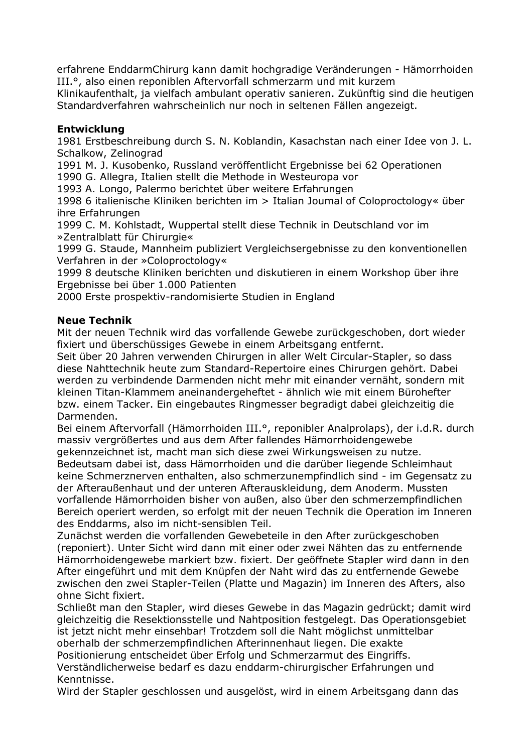erfahrene EnddarmChirurg kann damit hochgradige Veränderungen - Hämorrhoiden III.º, also einen reponiblen Aftervorfall schmerzarm und mit kurzem

Klinikaufenthalt, ja vielfach ambulant operativ sanieren. Zukünftig sind die heutigen Standardverfahren wahrscheinlich nur noch in seltenen Fällen angezeigt.

### **Entwicklung**

1981 Erstbeschreibung durch S. N. Koblandin, Kasachstan nach einer Idee von J. L. Schalkow, Zelinograd

1991 M. J. Kusobenko, Russland veröffentlicht Ergebnisse bei 62 Operationen 1990 G. Allegra, Italien stellt die Methode in Westeuropa vor

1993 A. Longo, Palermo berichtet über weitere Erfahrungen

1998 6 italienische Kliniken berichten im > Italian Joumal of Coloproctology« über ihre Erfahrungen

1999 C. M. Kohlstadt, Wuppertal stellt diese Technik in Deutschland vor im »Zentralblatt für Chirurgie«

1999 G. Staude, Mannheim publiziert Vergleichsergebnisse zu den konventionellen Verfahren in der »Coloproctology«

1999 8 deutsche Kliniken berichten und diskutieren in einem Workshop über ihre Ergebnisse bei über 1.000 Patienten

2000 Erste prospektiv-randomisierte Studien in England

## **Neue Technik**

Mit der neuen Technik wird das vorfallende Gewebe zurückgeschoben, dort wieder fixiert und überschüssiges Gewebe in einem Arbeitsgang entfernt.

Seit über 20 Jahren verwenden Chirurgen in aller Welt Circular-Stapler, so dass diese Nahttechnik heute zum Standard-Repertoire eines Chirurgen gehört. Dabei werden zu verbindende Darmenden nicht mehr mit einander vernäht, sondern mit kleinen Titan-Klammem aneinandergeheftet - ähnlich wie mit einem Bürohefter bzw. einem Tacker. Ein eingebautes Ringmesser begradigt dabei gleichzeitig die Darmenden.

Bei einem Aftervorfall (Hämorrhoiden III.<sup>o</sup>, reponibler Analprolaps), der i.d.R. durch massiv vergrößertes und aus dem After fallendes Hämorrhoidengewebe

gekennzeichnet ist, macht man sich diese zwei Wirkungsweisen zu nutze. Bedeutsam dabei ist, dass Hämorrhoiden und die darüber liegende Schleimhaut keine Schmerznerven enthalten, also schmerzunempfindlich sind - im Gegensatz zu der Afteraußenhaut und der unteren Afterauskleidung, dem Anoderm. Mussten vorfallende Hämorrhoiden bisher von außen, also über den schmerzempfindlichen Bereich operiert werden, so erfolgt mit der neuen Technik die Operation im Inneren des Enddarms, also im nicht-sensiblen Teil.

Zunächst werden die vorfallenden Gewebeteile in den After zurückgeschoben (reponiert). Unter Sicht wird dann mit einer oder zwei Nähten das zu entfernende Hämorrhoidengewebe markiert bzw. fixiert. Der geöffnete Stapler wird dann in den After eingeführt und mit dem Knüpfen der Naht wird das zu entfernende Gewebe zwischen den zwei Stapler-Teilen (Platte und Magazin) im Inneren des Afters, also ohne Sicht fixiert.

Schließt man den Stapler, wird dieses Gewebe in das Magazin gedrückt; damit wird gleichzeitig die Resektionsstelle und Nahtposition festgelegt. Das Operationsgebiet ist jetzt nicht mehr einsehbar! Trotzdem soll die Naht möglichst unmittelbar oberhalb der schmerzempfindlichen Afterinnenhaut liegen. Die exakte Positionierung entscheidet über Erfolg und Schmerzarmut des Eingriffs.

Verständlicherweise bedarf es dazu enddarm-chirurgischer Erfahrungen und Kenntnisse.

Wird der Stapler geschlossen und ausgelöst, wird in einem Arbeitsgang dann das